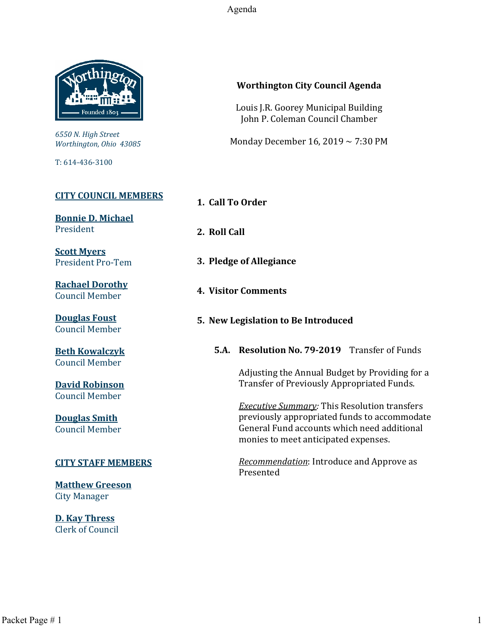Agenda



*6550 N. High Street Worthington, Ohio 43085*

T: 614-436-3100

## **[CITY COUNCIL MEMBERS](mailto:CityCouncil@ci.worthington.oh.us?subject=Email%20from%20City%20Council%20Meeting%20Agenda%20Link)**

**[Bonnie D. Michael](mailto:bmichael@ci.worthington.oh.us?subject=Email%20from%20City%20Council%20Meeting%20Agenda%20Link)** President

**[Scott Myers](mailto:smyers@ci.worthington.oh.us?subject=Email%20from%20City%20Council%20Meeting%20Agenda%20Link)** President Pro-Tem

**[Rachael Dorothy](mailto:rdorothy@ci.worthington.oh.us?subject=Email%20from%20City%20Council%20Meeting%20Agenda%20Link)** Council Member

**[Douglas Foust](mailto:Doug.Foust@ci.worthington.oh.us?subject=Email%20from%20City%20Council%20Meeting%20Agenda%20Link)** Council Member

**[Beth Kowalczyk](mailto:BKowalczyk@ci.worthington.oh.us)** Council Member

**[David Robinson](mailto:DRobinson@ci.worthington.oh.us)** Council Member

**[Douglas Smith](mailto:DSmith@ci.worthington.oh.us?subject=Email%20from%20City%20Council%20Meeting%20Agenda%20Link)** Council Member

## **[CITY STAFF MEMBERS](mailto:Council@ci.worthington.oh.us?subject=Email%20from%20City%20Council%20Meeting%20Agenda%20Link)**

**[Matthew Greeson](mailto:MGreeson@ci.worthington.oh.us?subject=Email%20from%20City%20Council%20Meeting%20Agenda%20Link)** City Manager

**[D. Kay Thress](mailto:DThress@ci.worthington.oh.us?subject=Email%20from%20City%20Council%20Meeting%20Agenda%20Link)** Clerk of Council

## **Worthington City Council Agenda**

Louis J.R. Goorey Municipal Building John P. Coleman Council Chamber

Monday December 16, 2019 ~ 7:30 PM

**1. Call To Order**

**2. Roll Call**

- **3. Pledge of Allegiance**
- **4. Visitor Comments**
- **5. New Legislation to Be Introduced**

**5.A. Resolution No. 79-2019** Transfer of Funds

Adjusting the Annual Budget by Providing for a Transfer of Previously Appropriated Funds.

*Executive Summary:* This Resolution transfers previously appropriated funds to accommodate General Fund accounts which need additional monies to meet anticipated expenses.

*Recommendation*: Introduce and Approve as Presented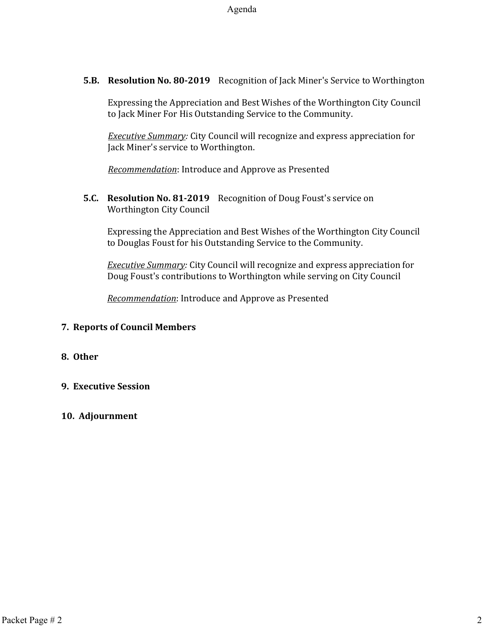**5.B. Resolution No. 80-2019** Recognition of Jack Miner's Service to Worthington

Expressing the Appreciation and Best Wishes of the Worthington City Council to Jack Miner For His Outstanding Service to the Community.

*Executive Summary:* City Council will recognize and express appreciation for Jack Miner's service to Worthington.

*Recommendation*: Introduce and Approve as Presented

**5.C. Resolution No. 81-2019** Recognition of Doug Foust's service on Worthington City Council

Expressing the Appreciation and Best Wishes of the Worthington City Council to Douglas Foust for his Outstanding Service to the Community.

*Executive Summary:* City Council will recognize and express appreciation for Doug Foust's contributions to Worthington while serving on City Council

*Recommendation*: Introduce and Approve as Presented

## **7. Reports of Council Members**

## **8. Other**

## **9. Executive Session**

## **10. Adjournment**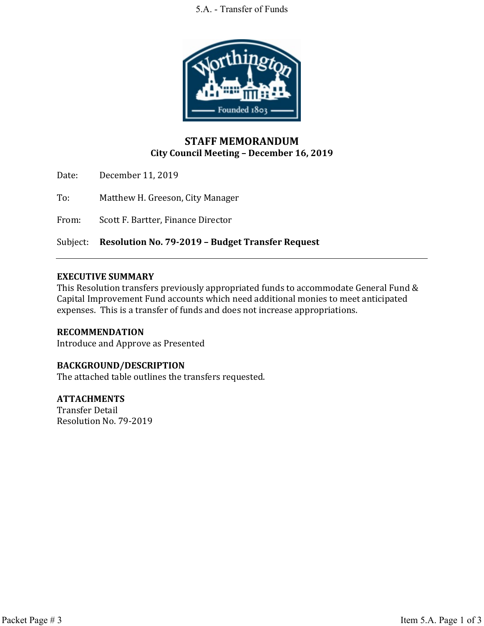#### 5.A. - Transfer of Funds



## **STAFF MEMORANDUM City Council Meeting – December 16, 2019**

Date: December 11, 2019

To: Matthew H. Greeson, City Manager

From: Scott F. Bartter, Finance Director

Subject: **Resolution No. 79-2019 – Budget Transfer Request**

#### **EXECUTIVE SUMMARY**

This Resolution transfers previously appropriated funds to accommodate General Fund & Capital Improvement Fund accounts which need additional monies to meet anticipated expenses. This is a transfer of funds and does not increase appropriations.

## **RECOMMENDATION**

Introduce and Approve as Presented

## **BACKGROUND/DESCRIPTION**

The attached table outlines the transfers requested.

#### **ATTACHMENTS**

Transfer Detail Resolution No. 79-2019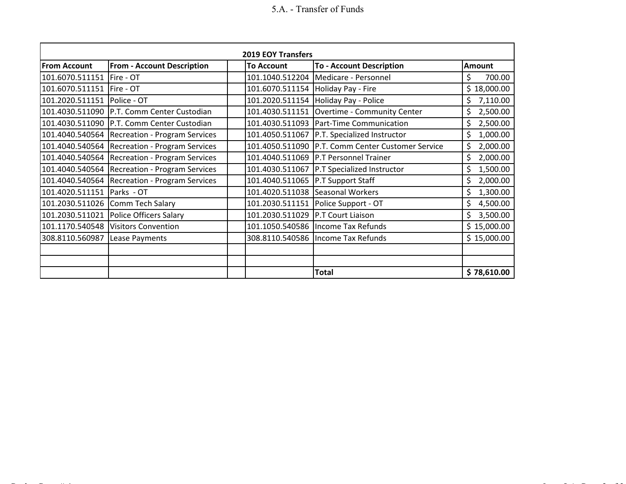# 5.A. - Transfer of Funds

| <b>2019 EOY Transfers</b> |                                   |                                     |                                         |                |  |
|---------------------------|-----------------------------------|-------------------------------------|-----------------------------------------|----------------|--|
| <b>From Account</b>       | <b>From - Account Description</b> | <b>To Account</b>                   | <b>To - Account Description</b>         | Amount         |  |
| 101.6070.511151           | Fire - OT                         | 101.1040.512204                     | Medicare - Personnel                    | 700.00<br>\$   |  |
| 101.6070.511151           | Fire - OT                         |                                     | 101.6070.511154   Holiday Pay - Fire    | \$18,000.00    |  |
| 101.2020.511151           | Police - OT                       |                                     | 101.2020.511154 Holiday Pay - Police    | \$<br>7,110.00 |  |
| 101.4030.511090           | P.T. Comm Center Custodian        | 101.4030.511151                     | Overtime - Community Center             | \$<br>2,500.00 |  |
| 101.4030.511090           | P.T. Comm Center Custodian        | 101.4030.511093                     | <b>Part-Time Communication</b>          | 2,500.00<br>\$ |  |
| 101.4040.540564           | Recreation - Program Services     | 101.4050.511067                     | <b>P.T. Specialized Instructor</b>      | \$<br>1,000.00 |  |
| 101.4040.540564           | Recreation - Program Services     | 101.4050.511090                     | P.T. Comm Center Customer Service       | \$<br>2,000.00 |  |
| 101.4040.540564           | Recreation - Program Services     |                                     | 101.4040.511069   P.T Personnel Trainer | \$<br>2,000.00 |  |
| 101.4040.540564           | Recreation - Program Services     | 101.4030.511067                     | <b>P.T Specialized Instructor</b>       | \$<br>1,500.00 |  |
| 101.4040.540564           | Recreation - Program Services     | 101.4040.511065   P.T Support Staff |                                         | 2,000.00<br>\$ |  |
| 101.4020.511151           | Parks - OT                        | 101.4020.511038                     | Seasonal Workers                        | \$<br>1,300.00 |  |
| 101.2030.511026           | Comm Tech Salary                  |                                     | 101.2030.511151 Police Support - OT     | \$<br>4,500.00 |  |
| 101.2030.511021           | Police Officers Salary            | 101.2030.511029   P.T Court Liaison |                                         | Ś<br>3,500.00  |  |
| 101.1170.540548           | <b>Visitors Convention</b>        |                                     | 101.1050.540586   Income Tax Refunds    | \$15,000.00    |  |
| 308.8110.560987           | Lease Payments                    |                                     | 308.8110.540586   Income Tax Refunds    | \$15,000.00    |  |
|                           |                                   |                                     |                                         |                |  |
|                           |                                   |                                     |                                         |                |  |
|                           |                                   |                                     | <b>Total</b>                            | \$78,610.00    |  |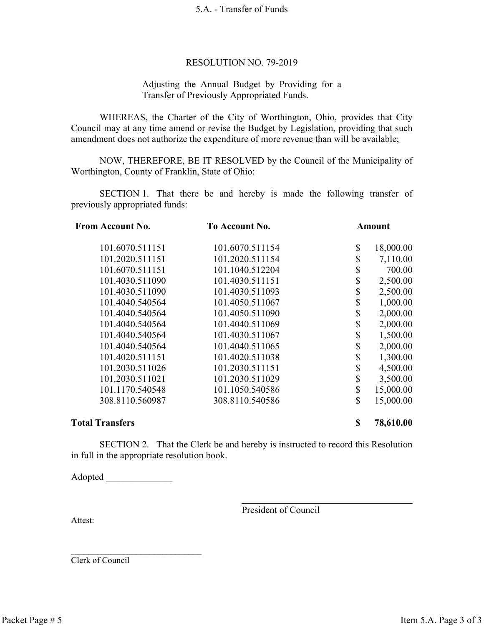#### 5.A. - Transfer of Funds

#### RESOLUTION NO. 79-2019

#### Adjusting the Annual Budget by Providing for a Transfer of Previously Appropriated Funds.

WHEREAS, the Charter of the City of Worthington, Ohio, provides that City Council may at any time amend or revise the Budget by Legislation, providing that such amendment does not authorize the expenditure of more revenue than will be available;

NOW, THEREFORE, BE IT RESOLVED by the Council of the Municipality of Worthington, County of Franklin, State of Ohio:

SECTION 1. That there be and hereby is made the following transfer of previously appropriated funds:

| <b>From Account No.</b> | <b>To Account No.</b> | Amount      |           |
|-------------------------|-----------------------|-------------|-----------|
| 101.6070.511151         | 101.6070.511154       | \$          | 18,000.00 |
| 101.2020.511151         | 101.2020.511154       | \$          | 7,110.00  |
| 101.6070.511151         | 101.1040.512204       | \$          | 700.00    |
| 101.4030.511090         | 101.4030.511151       | \$          | 2,500.00  |
| 101.4030.511090         | 101.4030.511093       | \$          | 2,500.00  |
| 101.4040.540564         | 101.4050.511067       | \$          | 1,000.00  |
| 101.4040.540564         | 101.4050.511090       | \$          | 2,000.00  |
| 101.4040.540564         | 101.4040.511069       | \$          | 2,000.00  |
| 101.4040.540564         | 101.4030.511067       | \$          | 1,500.00  |
| 101.4040.540564         | 101.4040.511065       | \$          | 2,000.00  |
| 101.4020.511151         | 101.4020.511038       | \$          | 1,300.00  |
| 101.2030.511026         | 101.2030.511151       | \$          | 4,500.00  |
| 101.2030.511021         | 101.2030.511029       | \$          | 3,500.00  |
| 101.1170.540548         | 101.1050.540586       | \$          | 15,000.00 |
| 308.8110.560987         | 308.8110.540586       | $\mathbf S$ | 15,000.00 |
| <b>Total Transfers</b>  |                       |             | 78,610.00 |

SECTION 2. That the Clerk be and hereby is instructed to record this Resolution in full in the appropriate resolution book.

Adopted \_\_\_\_\_\_\_\_\_\_\_\_\_\_

 $\mathcal{L}_\text{max}$ 

President of Council

Attest:

Clerk of Council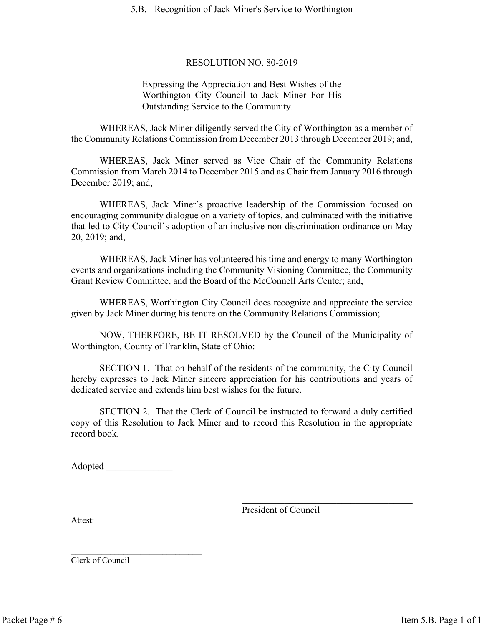#### 5.B. - Recognition of Jack Miner's Service to Worthington

#### RESOLUTION NO. 80-2019

Expressing the Appreciation and Best Wishes of the Worthington City Council to Jack Miner For His Outstanding Service to the Community.

WHEREAS, Jack Miner diligently served the City of Worthington as a member of the Community Relations Commission from December 2013 through December 2019; and,

WHEREAS, Jack Miner served as Vice Chair of the Community Relations Commission from March 2014 to December 2015 and as Chair from January 2016 through December 2019; and,

WHEREAS, Jack Miner's proactive leadership of the Commission focused on encouraging community dialogue on a variety of topics, and culminated with the initiative that led to City Council's adoption of an inclusive non-discrimination ordinance on May 20, 2019; and,

WHEREAS, Jack Miner has volunteered his time and energy to many Worthington events and organizations including the Community Visioning Committee, the Community Grant Review Committee, and the Board of the McConnell Arts Center; and,

WHEREAS, Worthington City Council does recognize and appreciate the service given by Jack Miner during his tenure on the Community Relations Commission;

NOW, THERFORE, BE IT RESOLVED by the Council of the Municipality of Worthington, County of Franklin, State of Ohio:

SECTION 1. That on behalf of the residents of the community, the City Council hereby expresses to Jack Miner sincere appreciation for his contributions and years of dedicated service and extends him best wishes for the future.

SECTION 2. That the Clerk of Council be instructed to forward a duly certified copy of this Resolution to Jack Miner and to record this Resolution in the appropriate record book.

Adopted

 $\mathcal{L}_\text{max}$ 

President of Council

Attest:

Clerk of Council